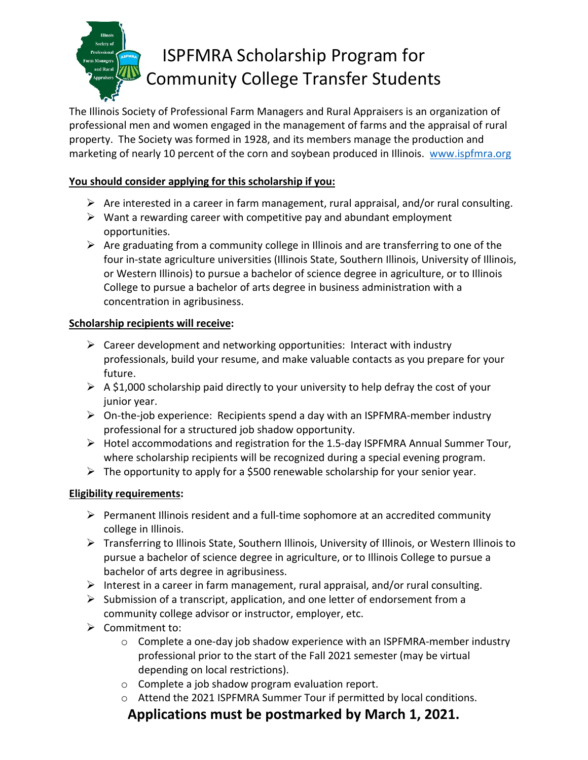# ISPFMRA Scholarship Program for Community College Transfer Students

The Illinois Society of Professional Farm Managers and Rural Appraisers is an organization of professional men and women engaged in the management of farms and the appraisal of rural property. The Society was formed in 1928, and its members manage the production and marketing of nearly 10 percent of the corn and soybean produced in Illinois. www.ispfmra.org

### **You should consider applying for this scholarship if you:**

- $\triangleright$  Are interested in a career in farm management, rural appraisal, and/or rural consulting.
- $\triangleright$  Want a rewarding career with competitive pay and abundant employment opportunities.
- $\triangleright$  Are graduating from a community college in Illinois and are transferring to one of the four in-state agriculture universities (Illinois State, Southern Illinois, University of Illinois, or Western Illinois) to pursue a bachelor of science degree in agriculture, or to Illinois College to pursue a bachelor of arts degree in business administration with a concentration in agribusiness.

### **Scholarship recipients will receive:**

- $\triangleright$  Career development and networking opportunities: Interact with industry professionals, build your resume, and make valuable contacts as you prepare for your future.
- $\triangleright$  A \$1,000 scholarship paid directly to your university to help defray the cost of your junior year.
- $\triangleright$  On-the-job experience: Recipients spend a day with an ISPFMRA-member industry professional for a structured job shadow opportunity.
- $\triangleright$  Hotel accommodations and registration for the 1.5-day ISPFMRA Annual Summer Tour, where scholarship recipients will be recognized during a special evening program.
- $\triangleright$  The opportunity to apply for a \$500 renewable scholarship for your senior year.

### **Eligibility requirements:**

- $\triangleright$  Permanent Illinois resident and a full-time sophomore at an accredited community college in Illinois.
- Transferring to Illinois State, Southern Illinois, University of Illinois, or Western Illinois to pursue a bachelor of science degree in agriculture, or to Illinois College to pursue a bachelor of arts degree in agribusiness.
- $\triangleright$  Interest in a career in farm management, rural appraisal, and/or rural consulting.
- $\triangleright$  Submission of a transcript, application, and one letter of endorsement from a community college advisor or instructor, employer, etc.
- $\triangleright$  Commitment to:
	- o Complete a one-day job shadow experience with an ISPFMRA-member industry professional prior to the start of the Fall 2021 semester (may be virtual depending on local restrictions).
	- o Complete a job shadow program evaluation report.
	- o Attend the 2021 ISPFMRA Summer Tour if permitted by local conditions.

### **Applications must be postmarked by March 1, 2021.**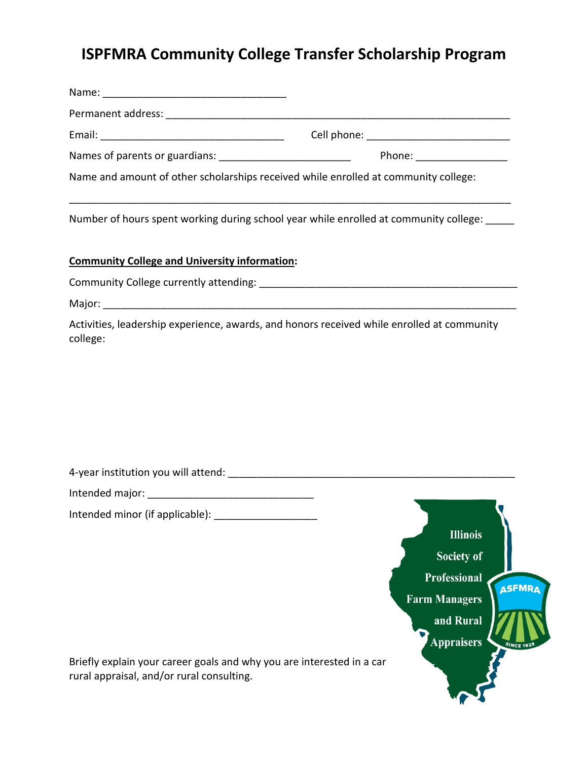# **ISPFMRA Community College Transfer Scholarship Program**

|                                                                                                                                                       | Name and amount of other scholarships received while enrolled at community college:                                                               |
|-------------------------------------------------------------------------------------------------------------------------------------------------------|---------------------------------------------------------------------------------------------------------------------------------------------------|
|                                                                                                                                                       | Number of hours spent working during school year while enrolled at community college:                                                             |
| <b>Community College and University information:</b>                                                                                                  |                                                                                                                                                   |
|                                                                                                                                                       |                                                                                                                                                   |
|                                                                                                                                                       |                                                                                                                                                   |
| college:                                                                                                                                              | Activities, leadership experience, awards, and honors received while enrolled at community                                                        |
|                                                                                                                                                       |                                                                                                                                                   |
|                                                                                                                                                       |                                                                                                                                                   |
| Intended minor (if applicable):<br>Briefly explain your career goals and why you are interested in a car<br>rural appraisal, and/or rural consulting. | $\blacksquare$<br><b>Illinois</b><br>Society of<br><b>Professional</b><br><b>ASFMRA</b><br><b>Farm Managers</b><br>and Rural<br><b>Appraisers</b> |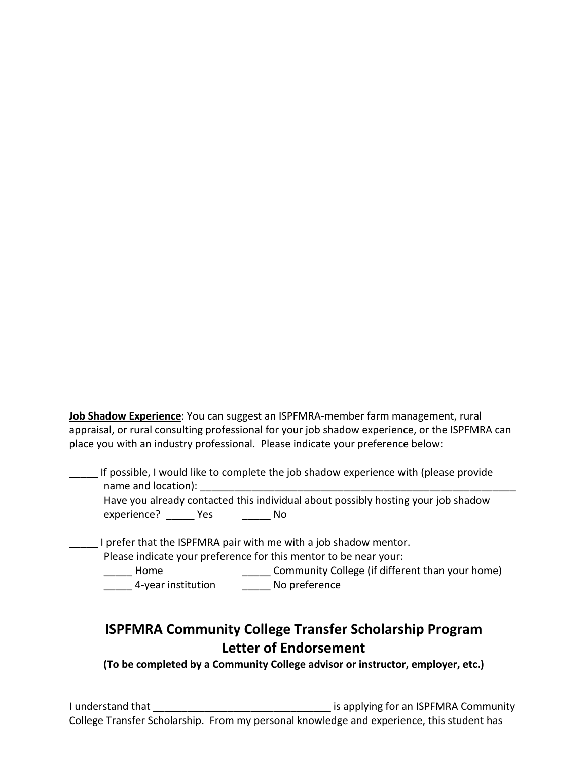**Job Shadow Experience**: You can suggest an ISPFMRA-member farm management, rural appraisal, or rural consulting professional for your job shadow experience, or the ISPFMRA can place you with an industry professional. Please indicate your preference below:

If possible, I would like to complete the job shadow experience with (please provide name and location): Have you already contacted this individual about possibly hosting your job shadow experience? \_\_\_\_\_\_ Yes \_\_\_\_\_\_\_ No I prefer that the ISPFMRA pair with me with a job shadow mentor. Please indicate your preference for this mentor to be near your:<br>
Community College (if difference for this mentor) Community College (if different than your home) \_\_\_\_\_ 4-year institution \_\_\_\_\_ No preference

## **ISPFMRA Community College Transfer Scholarship Program Letter of Endorsement**

**(To be completed by a Community College advisor or instructor, employer, etc.)**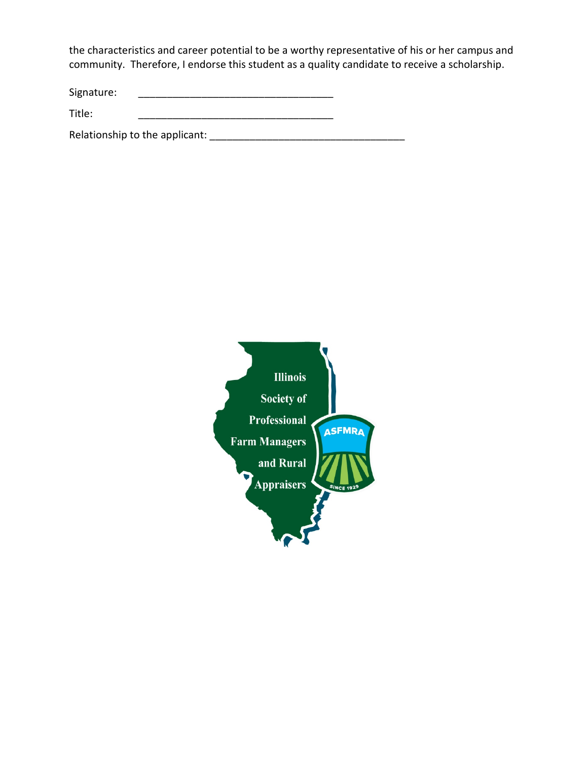the characteristics and career potential to be a worthy representative of his or her campus and community. Therefore, I endorse this student as a quality candidate to receive a scholarship.

Signature: \_\_\_\_\_\_\_\_\_\_\_\_\_\_\_\_\_\_\_\_\_\_\_\_\_\_\_\_\_\_\_\_\_\_

Title: \_\_\_\_\_\_\_\_\_\_\_\_\_\_\_\_\_\_\_\_\_\_\_\_\_\_\_\_\_\_\_\_\_\_

Relationship to the applicant: \_\_\_\_\_\_\_\_\_\_\_\_\_\_\_\_\_\_\_\_\_\_\_\_\_\_\_\_\_\_\_\_\_\_